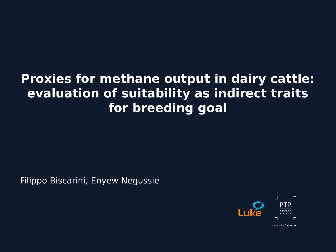#### **Proxies for methane output in dairy cattle: evaluation of suitability as indirect traits for breeding goal**

Filippo Biscarini, Enyew Negussie



adding value from research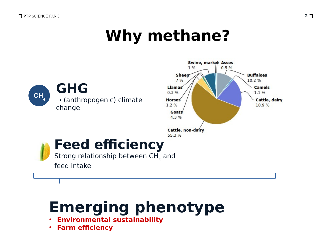## **Why methane?**



# **Emerging phenotype**

- **Environmental sustainability**
- **Farm efficiency**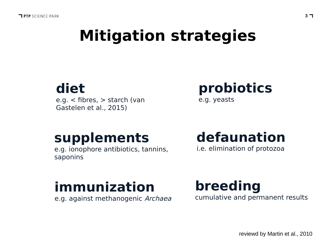## **Mitigation strategies**

### **diet**

e.g. < fibres, > starch (van Gastelen et al., 2015)

#### **probiotics** e.g. yeasts

#### **supplements**

e.g. ionophore antibiotics, tannins, saponins

### **defaunation**

i.e. elimination of protozoa

## **immunization**

e.g. against methanogenic Archaea

**breeding** cumulative and permanent results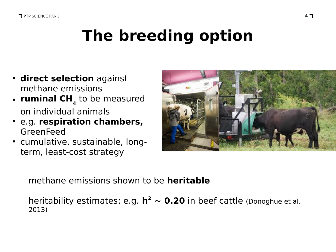# **The breeding option**

- **direct selection** against methane emissions
- **ruminal CH**<sub>4</sub> to be measured on individual animals
- e.g. **respiration chambers,** GreenFeed
- cumulative, sustainable, longterm, least-cost strategy



methane emissions shown to be **heritable**

heritability estimates: e.g.  $h^2 \sim 0.20$  in beef cattle (Donoghue et al. 2013)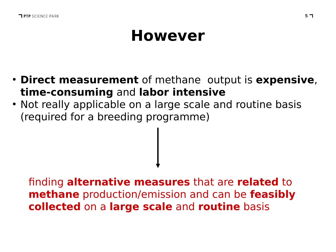## **However**

- **Direct measurement** of methane output is **expensive**, **time-consuming** and **labor intensive**
- Not really applicable on a large scale and routine basis (required for a breeding programme)

finding **alternative measures** that are **related** to **methane** production/emission and can be **feasibly collected** on a **large scale** and **routine** basis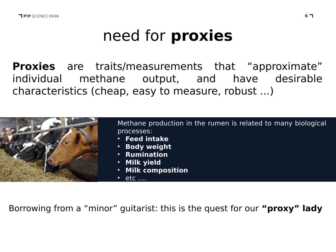# need for **proxies**

Proxies are **Proxies** are traits/measurements that "approximate" individual methane output, and have desirable characteristics (cheap, easy to measure, robust ...)



Methane production in the rumen is related to many biological processes:

- **Feed intake**
- **Body weight**
- **Rumination**
- **Milk yield**
- **Milk composition**
- $\cdot$  etc  $\dots$

Borrowing from a "minor" guitarist: this is the quest for our **"proxy" lady**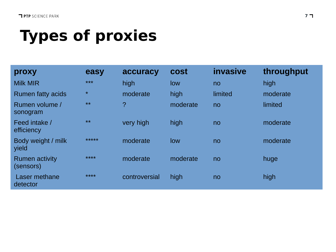# **Types of proxies**

| proxy                              | easy    | accuracy      | cost     | invasive       | throughput |
|------------------------------------|---------|---------------|----------|----------------|------------|
| <b>Milk MIR</b>                    | $***$   | high          | low      | no             | high       |
| <b>Rumen fatty acids</b>           | $\star$ | moderate      | high     | limited        | moderate   |
| Rumen volume /<br>sonogram         | $**$    | $\tilde{?}$   | moderate | n <sub>o</sub> | limited    |
| Feed intake /<br>efficiency        | $**$    | very high     | high     | n <sub>o</sub> | moderate   |
| Body weight / milk<br>yield        | *****   | moderate      | low      | no             | moderate   |
| <b>Rumen activity</b><br>(sensors) | ****    | moderate      | moderate | n <sub>o</sub> | huge       |
| Laser methane<br>detector          | ****    | controversial | high     | no             | high       |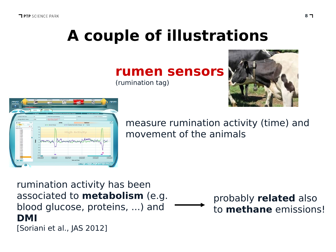# **A couple of illustrations**

**rumen sensors**

(rumination tag)





measure rumination activity (time) and movement of the animals

rumination activity has been associated to **metabolism** (e.g. blood glucose, proteins, ...) and **DMI** [Soriani et al., JAS 2012]

probably **related** also to **methane** emissions!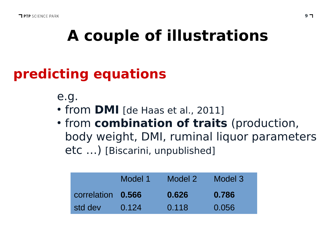# **A couple of illustrations**

### **predicting equations**

e.g.

- from **DMI** [de Haas et al., 2011]
- **from combination of traits** (production, body weight, DMI, ruminal liquor parameters etc …) [Biscarini, unpublished]

|                   | Model 1 | Model 2 | Model 3 |
|-------------------|---------|---------|---------|
| correlation 0.566 |         | 0.626   | 0.786   |
| std dev           | 0.124   | 0.118   | 0.056   |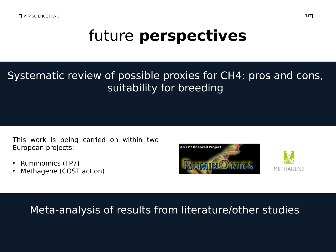## future **perspectives**

#### Systematic review of possible proxies for CH4: pros and cons, suitability for breeding

This work is being carried on within two European projects:

- Ruminomics (FP7)
- Methagene (COST action)





#### Meta-analysis of results from literature/other studies